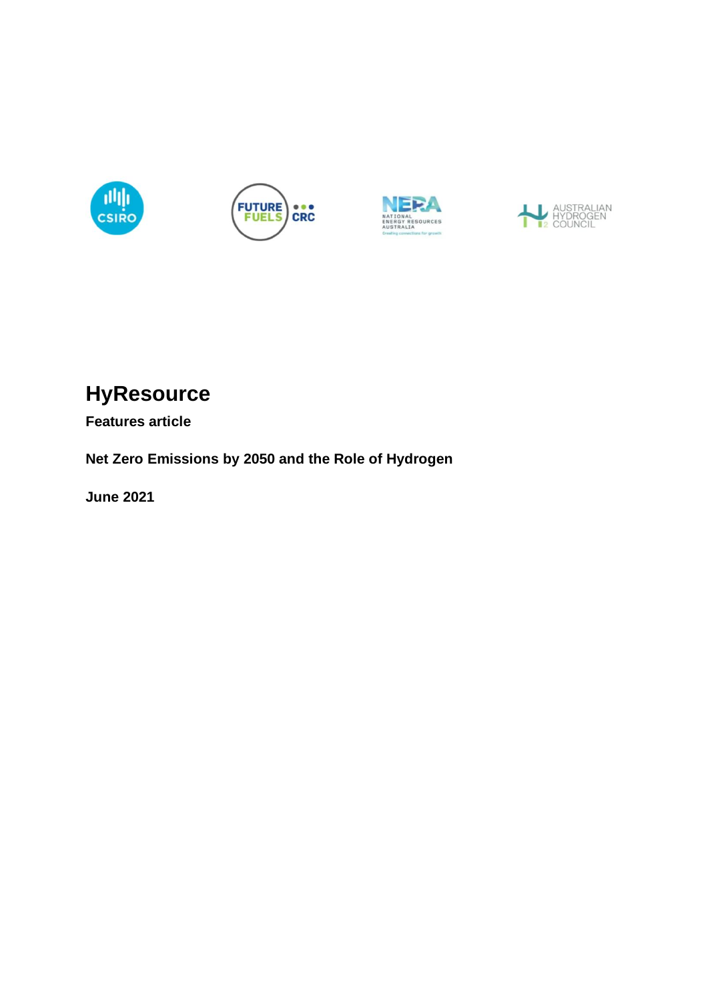







# **HyResource**

**Features article**

**Net Zero Emissions by 2050 and the Role of Hydrogen**

**June 2021**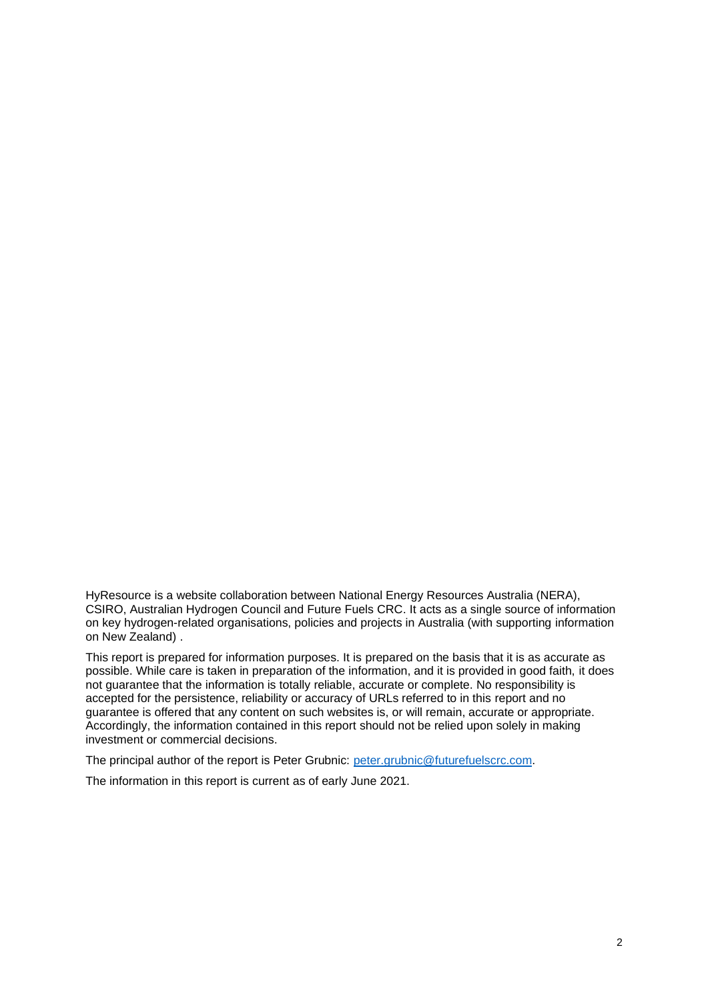HyResource is a website collaboration between National Energy Resources Australia (NERA), CSIRO, Australian Hydrogen Council and Future Fuels CRC. It acts as a single source of information on key hydrogen-related organisations, policies and projects in Australia (with supporting information on New Zealand) .

This report is prepared for information purposes. It is prepared on the basis that it is as accurate as possible. While care is taken in preparation of the information, and it is provided in good faith, it does not guarantee that the information is totally reliable, accurate or complete. No responsibility is accepted for the persistence, reliability or accuracy of URLs referred to in this report and no guarantee is offered that any content on such websites is, or will remain, accurate or appropriate. Accordingly, the information contained in this report should not be relied upon solely in making investment or commercial decisions.

The principal author of the report is Peter Grubnic: [peter.grubnic@futurefuelscrc.com.](mailto:peter.grubnic@futurefuelscrc.com)

The information in this report is current as of early June 2021.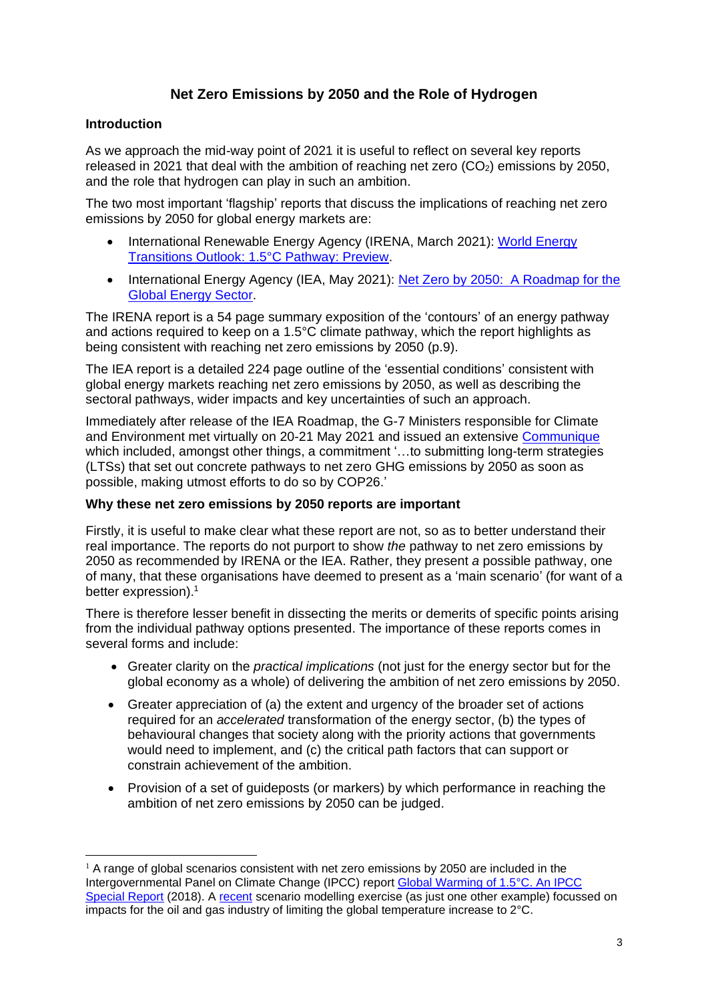# **Net Zero Emissions by 2050 and the Role of Hydrogen**

## **Introduction**

As we approach the mid-way point of 2021 it is useful to reflect on several key reports released in 2021 that deal with the ambition of reaching net zero  $(CO<sub>2</sub>)$  emissions by 2050, and the role that hydrogen can play in such an ambition.

The two most important 'flagship' reports that discuss the implications of reaching net zero emissions by 2050 for global energy markets are:

- International Renewable Energy Agency (IRENA, March 2021): World Energy [Transitions Outlook: 1.5°C](https://www.irena.org/publications/2021/March/World-Energy-Transitions-Outlook) Pathway: Preview.
- International Energy Agency (IEA, May 2021): Net Zero by 2050: A Roadmap for the [Global Energy Sector.](https://www.iea.org/reports/net-zero-by-2050)

The IRENA report is a 54 page summary exposition of the 'contours' of an energy pathway and actions required to keep on a 1.5°C climate pathway, which the report highlights as being consistent with reaching net zero emissions by 2050 (p.9).

The IEA report is a detailed 224 page outline of the 'essential conditions' consistent with global energy markets reaching net zero emissions by 2050, as well as describing the sectoral pathways, wider impacts and key uncertainties of such an approach.

Immediately after release of the IEA Roadmap, the G-7 Ministers responsible for Climate and Environment met virtually on 20-21 May 2021 and issued an extensive [Communique](https://www.gov.uk/government/publications/g7-climate-and-environment-ministers-meeting-may-2021-communique/g7-climate-and-environment-ministers-communique-london-21-may-2021?utm_source=SendGrid&utm_medium=Email&utm_campaign=IEA+newsletters) which included, amongst other things, a commitment '…to submitting long-term strategies (LTSs) that set out concrete pathways to net zero GHG emissions by 2050 as soon as possible, making utmost efforts to do so by COP26.'

### **Why these net zero emissions by 2050 reports are important**

Firstly, it is useful to make clear what these report are not, so as to better understand their real importance. The reports do not purport to show *the* pathway to net zero emissions by 2050 as recommended by IRENA or the IEA. Rather, they present *a* possible pathway, one of many, that these organisations have deemed to present as a 'main scenario' (for want of a better expression). 1

There is therefore lesser benefit in dissecting the merits or demerits of specific points arising from the individual pathway options presented. The importance of these reports comes in several forms and include:

- Greater clarity on the *practical implications* (not just for the energy sector but for the global economy as a whole) of delivering the ambition of net zero emissions by 2050.
- Greater appreciation of (a) the extent and urgency of the broader set of actions required for an *accelerated* transformation of the energy sector, (b) the types of behavioural changes that society along with the priority actions that governments would need to implement, and (c) the critical path factors that can support or constrain achievement of the ambition.
- Provision of a set of guideposts (or markers) by which performance in reaching the ambition of net zero emissions by 2050 can be judged.

 $1$  A range of global scenarios consistent with net zero emissions by 2050 are included in the Intergovernmental Panel on Climate Change (IPCC) report [Global Warming of 1.5°C. An IPCC](https://www.ipcc.ch/sr15/)  [Special Report](https://www.ipcc.ch/sr15/) (2018). A [recent](https://www.woodmac.com/horizons/reversal-of-fortune-oil-and-gas-prices-in-a-2-degree-world?promo_name=horizonsapril21&promo_creative=roadblock) scenario modelling exercise (as just one other example) focussed on impacts for the oil and gas industry of limiting the global temperature increase to 2°C.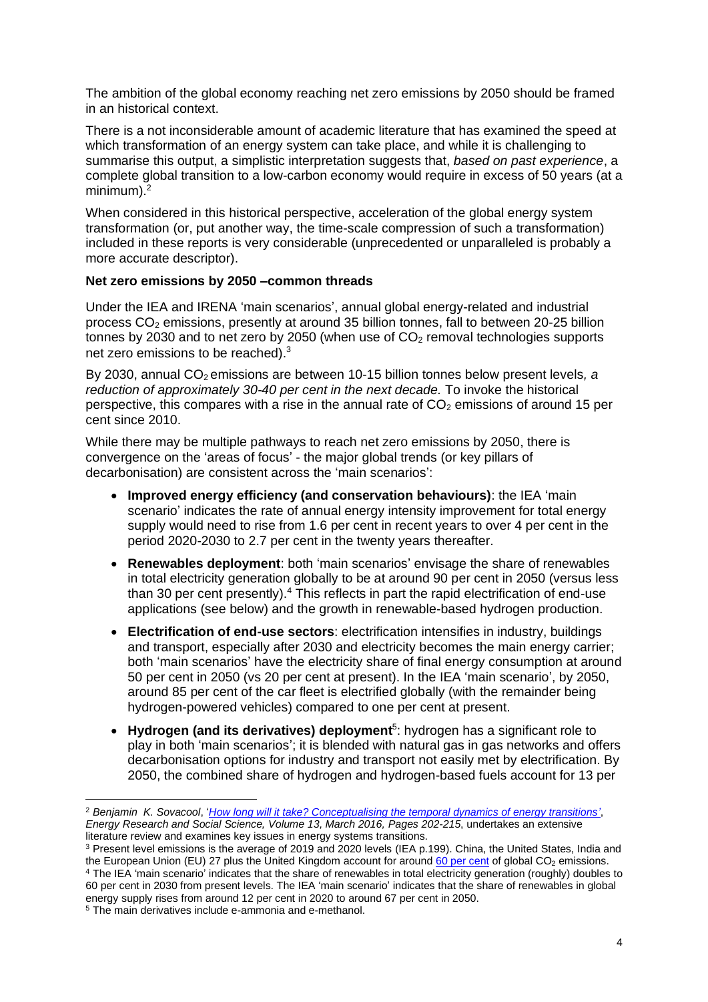The ambition of the global economy reaching net zero emissions by 2050 should be framed in an historical context.

There is a not inconsiderable amount of academic literature that has examined the speed at which transformation of an energy system can take place, and while it is challenging to summarise this output, a simplistic interpretation suggests that, *based on past experience*, a complete global transition to a low-carbon economy would require in excess of 50 years (at a minimum $)^2$ 

When considered in this historical perspective, acceleration of the global energy system transformation (or, put another way, the time-scale compression of such a transformation) included in these reports is very considerable (unprecedented or unparalleled is probably a more accurate descriptor).

### **Net zero emissions by 2050 –common threads**

Under the IEA and IRENA 'main scenarios', annual global energy-related and industrial process  $CO<sub>2</sub>$  emissions, presently at around 35 billion tonnes, fall to between 20-25 billion tonnes by 2030 and to net zero by 2050 (when use of  $CO<sub>2</sub>$  removal technologies supports net zero emissions to be reached).<sup>3</sup>

By 2030, annual CO<sub>2</sub> emissions are between 10-15 billion tonnes below present levels, a *reduction of approximately 30-40 per cent in the next decade.* To invoke the historical perspective, this compares with a rise in the annual rate of  $CO<sub>2</sub>$  emissions of around 15 per cent since 2010.

While there may be multiple pathways to reach net zero emissions by 2050, there is convergence on the 'areas of focus' - the major global trends (or key pillars of decarbonisation) are consistent across the 'main scenarios':

- **Improved energy efficiency (and conservation behaviours)**: the IEA 'main scenario' indicates the rate of annual energy intensity improvement for total energy supply would need to rise from 1.6 per cent in recent years to over 4 per cent in the period 2020-2030 to 2.7 per cent in the twenty years thereafter.
- **Renewables deployment**: both 'main scenarios' envisage the share of renewables in total electricity generation globally to be at around 90 per cent in 2050 (versus less than 30 per cent presently).<sup>4</sup> This reflects in part the rapid electrification of end-use applications (see below) and the growth in renewable-based hydrogen production.
- **Electrification of end-use sectors**: electrification intensifies in industry, buildings and transport, especially after 2030 and electricity becomes the main energy carrier; both 'main scenarios' have the electricity share of final energy consumption at around 50 per cent in 2050 (vs 20 per cent at present). In the IEA 'main scenario', by 2050, around 85 per cent of the car fleet is electrified globally (with the remainder being hydrogen-powered vehicles) compared to one per cent at present.
- **Hydrogen (and its derivatives) deployment**<sup>5</sup> : hydrogen has a significant role to play in both 'main scenarios'; it is blended with natural gas in gas networks and offers decarbonisation options for industry and transport not easily met by electrification. By 2050, the combined share of hydrogen and hydrogen-based fuels account for 13 per

<sup>2</sup> *Benjamin K. Sovacool*, '*[How long will it take? Conceptualising the temporal dynamics of energy transitions'](https://www.sciencedirect.com/science/article/pii/S2214629615300827#bib0410)*, *Energy Research and Social Science, Volume 13, March 2016, Pages 202-215*, undertakes an extensive literature review and examines key issues in energy systems transitions.

<sup>3</sup> Present level emissions is the average of 2019 and 2020 levels (IEA p.199). China, the United States, India and the European Union (EU) 27 plus the United Kingdom account for around  $60$  [per cent](https://www.iea.org/data-and-statistics/data-browser/?country=WORLD&fuel=CO2%20emissions&indicator=CO2BySource) of global  $CO<sub>2</sub>$  emissions. <sup>4</sup> The IEA 'main scenario' indicates that the share of renewables in total electricity generation (roughly) doubles to 60 per cent in 2030 from present levels. The IEA 'main scenario' indicates that the share of renewables in global energy supply rises from around 12 per cent in 2020 to around 67 per cent in 2050.

<sup>5</sup> The main derivatives include e-ammonia and e-methanol.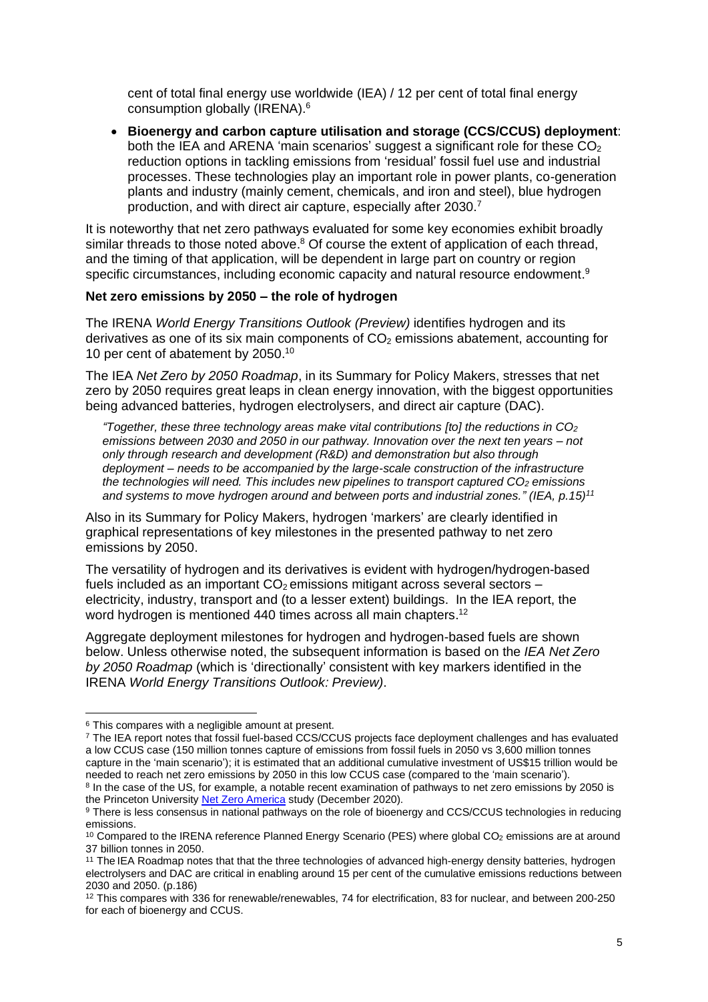cent of total final energy use worldwide (IEA) / 12 per cent of total final energy consumption globally (IRENA).<sup>6</sup>

• **Bioenergy and carbon capture utilisation and storage (CCS/CCUS) deployment**: both the IEA and ARENA 'main scenarios' suggest a significant role for these  $CO<sub>2</sub>$ reduction options in tackling emissions from 'residual' fossil fuel use and industrial processes. These technologies play an important role in power plants, co-generation plants and industry (mainly cement, chemicals, and iron and steel), blue hydrogen production, and with direct air capture, especially after 2030.<sup>7</sup>

It is noteworthy that net zero pathways evaluated for some key economies exhibit broadly similar threads to those noted above.<sup>8</sup> Of course the extent of application of each thread, and the timing of that application, will be dependent in large part on country or region specific circumstances, including economic capacity and natural resource endowment.<sup>9</sup>

#### **Net zero emissions by 2050 – the role of hydrogen**

The IRENA *World Energy Transitions Outlook (Preview)* identifies hydrogen and its derivatives as one of its six main components of  $CO<sub>2</sub>$  emissions abatement, accounting for 10 per cent of abatement by 2050. 10

The IEA *Net Zero by 2050 Roadmap*, in its Summary for Policy Makers, stresses that net zero by 2050 requires great leaps in clean energy innovation, with the biggest opportunities being advanced batteries, hydrogen electrolysers, and direct air capture (DAC).

*"Together, these three technology areas make vital contributions [to] the reductions in CO<sup>2</sup> emissions between 2030 and 2050 in our pathway. Innovation over the next ten years – not only through research and development (R&D) and demonstration but also through deployment – needs to be accompanied by the large-scale construction of the infrastructure the technologies will need. This includes new pipelines to transport captured CO<sup>2</sup> emissions and systems to move hydrogen around and between ports and industrial zones." (IEA, p.15)<sup>11</sup>*

Also in its Summary for Policy Makers, hydrogen 'markers' are clearly identified in graphical representations of key milestones in the presented pathway to net zero emissions by 2050.

The versatility of hydrogen and its derivatives is evident with hydrogen/hydrogen-based fuels included as an important  $CO<sub>2</sub>$  emissions mitigant across several sectors – electricity, industry, transport and (to a lesser extent) buildings. In the IEA report, the word hydrogen is mentioned 440 times across all main chapters.<sup>12</sup>

Aggregate deployment milestones for hydrogen and hydrogen-based fuels are shown below. Unless otherwise noted, the subsequent information is based on the *IEA Net Zero by 2050 Roadmap* (which is 'directionally' consistent with key markers identified in the IRENA *World Energy Transitions Outlook: Preview)*.

<sup>6</sup> This compares with a negligible amount at present.

<sup>7</sup> The IEA report notes that fossil fuel-based CCS/CCUS projects face deployment challenges and has evaluated a low CCUS case (150 million tonnes capture of emissions from fossil fuels in 2050 vs 3,600 million tonnes capture in the 'main scenario'); it is estimated that an additional cumulative investment of US\$15 trillion would be needed to reach net zero emissions by 2050 in this low CCUS case (compared to the 'main scenario').

<sup>&</sup>lt;sup>8</sup> In the case of the US, for example, a notable recent examination of pathways to net zero emissions by 2050 is the Princeton Universit[y Net Zero America](https://netzeroamerica.princeton.edu/about) study (December 2020).

<sup>9</sup> There is less consensus in national pathways on the role of bioenergy and CCS/CCUS technologies in reducing emissions.

<sup>&</sup>lt;sup>10</sup> Compared to the IRENA reference Planned Energy Scenario (PES) where global CO<sub>2</sub> emissions are at around 37 billion tonnes in 2050.

<sup>11</sup> The IEA Roadmap notes that that the three technologies of advanced high-energy density batteries, hydrogen electrolysers and DAC are critical in enabling around 15 per cent of the cumulative emissions reductions between 2030 and 2050. (p.186)

<sup>12</sup> This compares with 336 for renewable/renewables, 74 for electrification, 83 for nuclear, and between 200-250 for each of bioenergy and CCUS.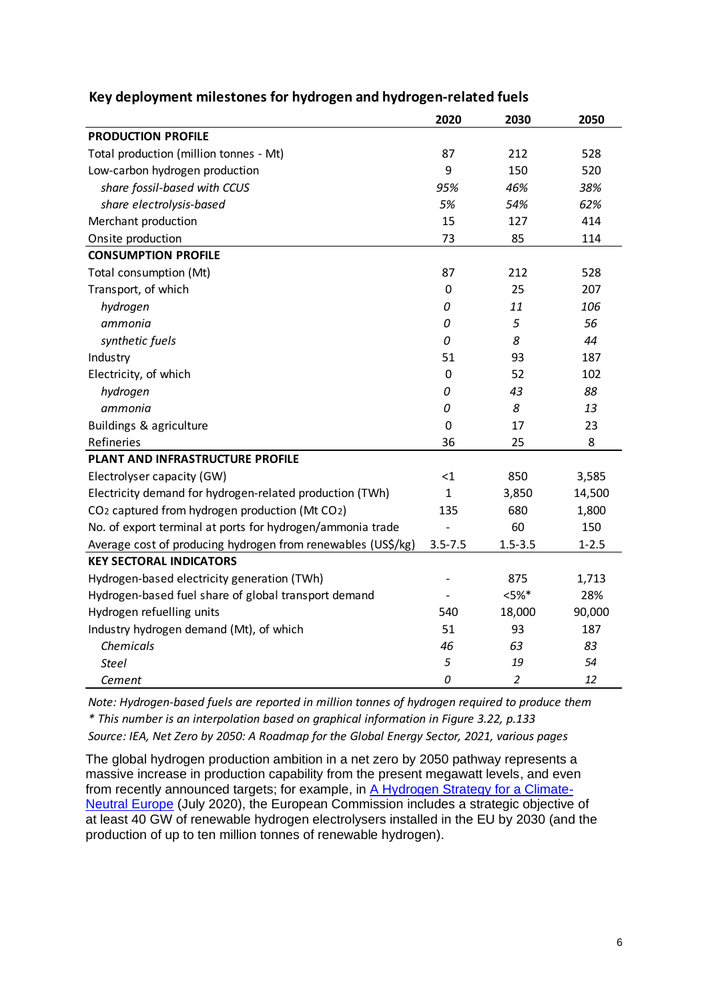|                                                                         | 2020         | 2030           | 2050      |
|-------------------------------------------------------------------------|--------------|----------------|-----------|
| <b>PRODUCTION PROFILE</b>                                               |              |                |           |
| Total production (million tonnes - Mt)                                  | 87           | 212            | 528       |
| Low-carbon hydrogen production                                          | 9            | 150            | 520       |
| share fossil-based with CCUS                                            | 95%          | 46%            | 38%       |
| share electrolysis-based                                                | 5%           | 54%            | 62%       |
| Merchant production                                                     | 15           | 127            | 414       |
| Onsite production                                                       | 73           | 85             | 114       |
| <b>CONSUMPTION PROFILE</b>                                              |              |                |           |
| Total consumption (Mt)                                                  | 87           | 212            | 528       |
| Transport, of which                                                     | 0            | 25             | 207       |
| hydrogen                                                                | 0            | 11             | 106       |
| ammonia                                                                 | 0            | 5              | 56        |
| synthetic fuels                                                         | 0            | 8              | 44        |
| Industry                                                                | 51           | 93             | 187       |
| Electricity, of which                                                   | 0            | 52             | 102       |
| hydrogen                                                                | 0            | 43             | 88        |
| ammonia                                                                 | 0            | 8              | 13        |
| Buildings & agriculture                                                 | 0            | 17             | 23        |
| Refineries                                                              | 36           | 25             | 8         |
| PLANT AND INFRASTRUCTURE PROFILE                                        |              |                |           |
| Electrolyser capacity (GW)                                              | $<$ 1        | 850            | 3,585     |
| Electricity demand for hydrogen-related production (TWh)                | $\mathbf{1}$ | 3,850          | 14,500    |
| CO <sub>2</sub> captured from hydrogen production (Mt CO <sub>2</sub> ) | 135          | 680            | 1,800     |
| No. of export terminal at ports for hydrogen/ammonia trade              |              | 60             | 150       |
| Average cost of producing hydrogen from renewables (US\$/kg)            | $3.5 - 7.5$  | $1.5 - 3.5$    | $1 - 2.5$ |
| <b>KEY SECTORAL INDICATORS</b>                                          |              |                |           |
| Hydrogen-based electricity generation (TWh)                             |              | 875            | 1,713     |
| Hydrogen-based fuel share of global transport demand                    |              | $< 5\%$ *      | 28%       |
| Hydrogen refuelling units                                               | 540          | 18,000         | 90,000    |
| Industry hydrogen demand (Mt), of which                                 | 51           | 93             | 187       |
| Chemicals                                                               | 46           | 63             | 83        |
| <b>Steel</b>                                                            | 5            | 19             | 54        |
| Cement                                                                  | 0            | $\overline{2}$ | 12        |

# **Key deployment milestones for hydrogen and hydrogen-related fuels**

*Note: Hydrogen-based fuels are reported in million tonnes of hydrogen required to produce them \* This number is an interpolation based on graphical information in Figure 3.22, p.133 Source: IEA, Net Zero by 2050: A Roadmap for the Global Energy Sector, 2021, various pages*

The global hydrogen production ambition in a net zero by 2050 pathway represents a massive increase in production capability from the present megawatt levels, and even from recently announced targets; for example, in [A Hydrogen Strategy for a Climate-](https://research.csiro.au/hyresource/policy/international/european-commission/)[Neutral Europe](https://research.csiro.au/hyresource/policy/international/european-commission/) (July 2020), the European Commission includes a strategic objective of at least 40 GW of renewable hydrogen electrolysers installed in the EU by 2030 (and the production of up to ten million tonnes of renewable hydrogen).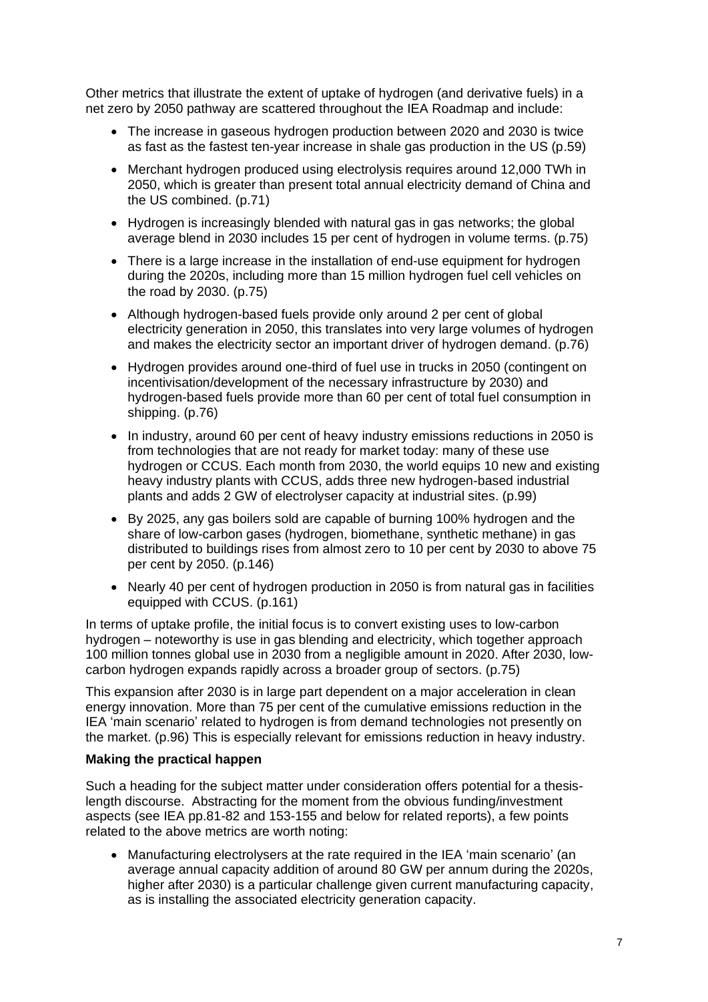Other metrics that illustrate the extent of uptake of hydrogen (and derivative fuels) in a net zero by 2050 pathway are scattered throughout the IEA Roadmap and include:

- The increase in gaseous hydrogen production between 2020 and 2030 is twice as fast as the fastest ten-year increase in shale gas production in the US (p.59)
- Merchant hydrogen produced using electrolysis requires around 12,000 TWh in 2050, which is greater than present total annual electricity demand of China and the US combined. (p.71)
- Hydrogen is increasingly blended with natural gas in gas networks; the global average blend in 2030 includes 15 per cent of hydrogen in volume terms. (p.75)
- There is a large increase in the installation of end-use equipment for hydrogen during the 2020s, including more than 15 million hydrogen fuel cell vehicles on the road by 2030. (p.75)
- Although hydrogen-based fuels provide only around 2 per cent of global electricity generation in 2050, this translates into very large volumes of hydrogen and makes the electricity sector an important driver of hydrogen demand. (p.76)
- Hydrogen provides around one-third of fuel use in trucks in 2050 (contingent on incentivisation/development of the necessary infrastructure by 2030) and hydrogen-based fuels provide more than 60 per cent of total fuel consumption in shipping. (p.76)
- In industry, around 60 per cent of heavy industry emissions reductions in 2050 is from technologies that are not ready for market today: many of these use hydrogen or CCUS. Each month from 2030, the world equips 10 new and existing heavy industry plants with CCUS, adds three new hydrogen-based industrial plants and adds 2 GW of electrolyser capacity at industrial sites. (p.99)
- By 2025, any gas boilers sold are capable of burning 100% hydrogen and the share of low-carbon gases (hydrogen, biomethane, synthetic methane) in gas distributed to buildings rises from almost zero to 10 per cent by 2030 to above 75 per cent by 2050. (p.146)
- Nearly 40 per cent of hydrogen production in 2050 is from natural gas in facilities equipped with CCUS. (p.161)

In terms of uptake profile, the initial focus is to convert existing uses to low-carbon hydrogen – noteworthy is use in gas blending and electricity, which together approach 100 million tonnes global use in 2030 from a negligible amount in 2020. After 2030, lowcarbon hydrogen expands rapidly across a broader group of sectors. (p.75)

This expansion after 2030 is in large part dependent on a major acceleration in clean energy innovation. More than 75 per cent of the cumulative emissions reduction in the IEA 'main scenario' related to hydrogen is from demand technologies not presently on the market. (p.96) This is especially relevant for emissions reduction in heavy industry.

### **Making the practical happen**

Such a heading for the subject matter under consideration offers potential for a thesislength discourse. Abstracting for the moment from the obvious funding/investment aspects (see IEA pp.81-82 and 153-155 and below for related reports), a few points related to the above metrics are worth noting:

• Manufacturing electrolysers at the rate required in the IEA 'main scenario' (an average annual capacity addition of around 80 GW per annum during the 2020s, higher after 2030) is a particular challenge given current manufacturing capacity, as is installing the associated electricity generation capacity.